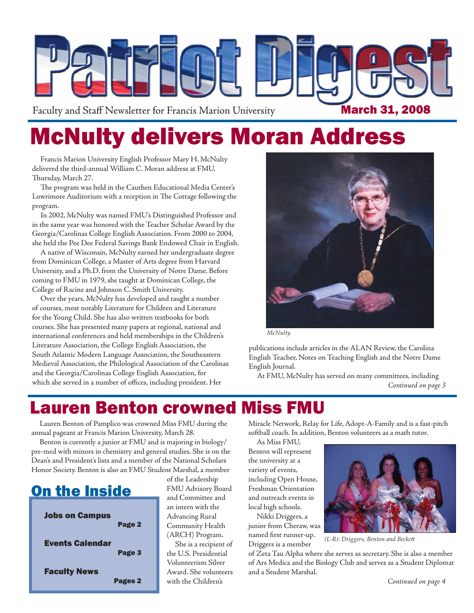

# McNulty delivers Moran Address

Francis Marion University English Professor Mary H. McNulty delivered the third-annual William C. Moran address at FMU, Thursday, March 27.

The program was held in the Cauthen Educational Media Center's Lowrimore Auditorium with a reception in The Cottage following the program.

In 2002, McNulty was named FMU's Distinguished Professor and in the same year was honored with the Teacher Scholar Award by the Georgia/Carolinas College English Association. From 2000 to 2004, she held the Pee Dee Federal Savings Bank Endowed Chair in English.

A native of Wisconsin, McNulty earned her undergraduate degree from Dominican College, a Master of Arts degree from Harvard University, and a Ph.D. from the University of Notre Dame. Before coming to FMU in 1979, she taught at Dominican College, the College of Racine and Johnson C. Smith University.

Over the years, McNulty has developed and taught a number of courses, most notably Literature for Children and Literature for the Young Child. She has also written textbooks for both courses. She has presented many papers at regional, national and international conferences and held memberships in the Children's Literature Association, the College English Association, the South Atlantic Modern Language Association, the Southeastern Medieval Association, the Philological Association of the Carolinas and the Georgia/Carolinas College English Association, for which she served in a number of offices, including president. Her



*McNulty*

publications include articles in the ALAN Review, the Carolina English Teacher, Notes on Teaching English and the Notre Dame English Journal.

At FMU, McNulty has served on many committees, including *Continued on page 3*

# Lauren Benton crowned Miss FMU

Lauren Benton of Pamplico was crowned Miss FMU during the annual pageant at Francis Marion University, March 28.

Benton is currently a junior at FMU and is majoring in biology/ pre-med with minors in chemistry and general studies. She is on the Dean's and President's lists and a member of the National Scholars Honor Society. Benton is also an FMU Student Marshal, a member

# On the Inside



of the Leadership FMU Advisory Board and Committee and an intern with the Advancing Rural Community Health (ARCH) Program.

She is a recipient of the U.S. Presidential Volunteerism Silver Award. She volunteers with the Children's

Miracle Network, Relay for Life, Adopt-A-Family and is a fast-pitch softball coach. In addition, Benton volunteers as a math tutor.

As Miss FMU,

Benton will represent the university at a variety of events, including Open House, Freshman Orientation and outreach events in local high schools.

Nikki Driggers, a junior from Cheraw, was named first runner-up. Driggers is a member



*(L-R): Driggers, Benton and Beckett*

of Zeta Tau Alpha where she serves as secretary. She is also a member of Ars Medica and the Biology Club and serves as a Student Diplomat and a Student Marshal.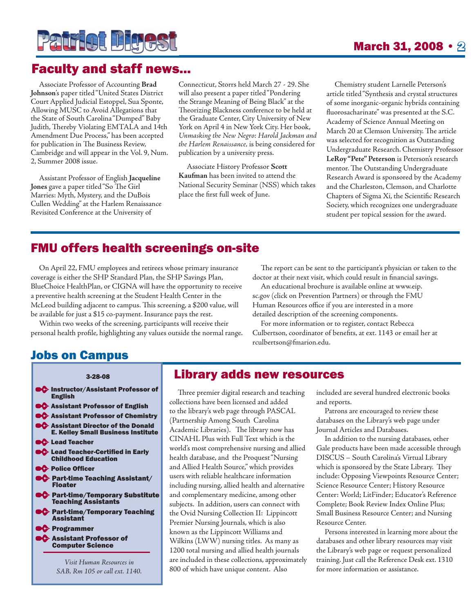

### Faculty and staff news...

Associate Professor of Accounting **Brad Johnson**'s paper titled "United States District Court Applied Judicial Estoppel, Sua Sponte, Allowing MUSC to Avoid Allegations that the State of South Carolina "Dumped" Baby Judith, Thereby Violating EMTALA and 14th Amendment Due Process," has been accepted for publication in The Business Review, Cambridge and will appear in the Vol. 9, Num. 2, Summer 2008 issue.

Assistant Professor of English **Jacqueline**  Jones gave a paper titled "So The Girl Marries: Myth, Mystery, and the DuBois Cullen Wedding" at the Harlem Renaissance Revisited Conference at the University of

Connecticut, Storrs held March 27 - 29. She will also present a paper titled "Pondering the Strange Meaning of Being Black" at the Theorizing Blackness conference to be held at the Graduate Center, City University of New York on April 4 in New York City. Her book, *Unmasking the New Negro: Harold Jackman and the Harlem Renaissance,* is being considered for publication by a university press.

Associate History Professor **Scott Kaufman** has been invited to attend the National Security Seminar (NSS) which takes place the first full week of June.

Chemistry student Larnelle Peterson's article titled "Synthesis and crystal structures of some inorganic-organic hybrids containing fluorosacharinate" was presented at the S.C. Academy of Science Annual Meeting on March 20 at Clemson University. The article was selected for recognition as Outstanding Undergraduate Research. Chemistry Professor **LeRoy "Pete" Peterson** is Peterson's research mentor. The Outstanding Undergraduate Research Award is sponsored by the Academy and the Charleston, Clemson, and Charlotte Chapters of Sigma Xi, the Scientific Research Society, which recognizes one undergraduate student per topical session for the award.

## FMU offers health screenings on-site

On April 22, FMU employees and retirees whose primary insurance coverage is either the SHP Standard Plan, the SHP Savings Plan, BlueChoice HealthPlan, or CIGNA will have the opportunity to receive a preventive health screening at the Student Health Center in the McLeod building adjacent to campus. This screening, a \$200 value, will be available for just a \$15 co-payment. Insurance pays the rest.

Within two weeks of the screening, participants will receive their personal health profile, highlighting any values outside the normal range.

The report can be sent to the participant's physician or taken to the doctor at their next visit, which could result in financial savings.

An educational brochure is available online at www.eip. sc.gov (click on Prevention Partners) or through the FMU Human Resources office if you are interested in a more detailed description of the screening components.

For more information or to register, contact Rebecca Culbertson, coordinator of benefits, at ext. 1143 or email her at rculbertson@fmarion.edu.

## Jobs on Campus

#### 3-28-08

**Instructor/Assistant Professor of** English **C** Assistant Professor of English **C** Assistant Professor of Chemistry **C** Assistant Director of the Donald E. Kelley Small Business Institute **C** Lead Teacher **C** Lead Teacher-Certified in Early Childhood Education **C** Police Officer **C** Part-time Teaching Assistant/ Floater **C** Part-time/Temporary Substitute Teaching Assistants **PC** Part-time/Temporary Teaching Assistant **Programmer Assistant Professor of** Computer Science

*Visit Human Resources in SAB, Rm 105 or call ext. 1140.*

### Library adds new resources

Three premier digital research and teaching collections have been licensed and added to the library's web page through PASCAL (Partnership Among South Carolina Academic Libraries). The library now has CINAHL Plus with Full Text which is the world's most comprehensive nursing and allied health database, and the Proquest "Nursing and Allied Health Source," which provides users with reliable healthcare information including nursing, allied health and alternative and complementary medicine, among other subjects. In addition, users can connect with the Ovid Nursing Collection II: Lippincott Premier Nursing Journals, which is also known as the Lippincott Williams and Wilkins (LWW) nursing titles. As many as 1200 total nursing and allied health journals are included in these collections, approximately 800 of which have unique content. Also

included are several hundred electronic books and reports.

Patrons are encouraged to review these databases on the Library's web page under Journal Articles and Databases.

In addition to the nursing databases, other Gale products have been made accessible through DISCUS – South Carolina's Virtual Library which is sponsored by the State Library. They include: Opposing Viewpoints Resource Center; Science Resource Center; History Resource Center: World; LitFinder; Educator's Reference Complete; Book Review Index Online Plus; Small Business Resource Center; and Nursing Resource Center.

Persons interested in learning more about the databases and other library resources may visit the Library's web page or request personalized training. Just call the Reference Desk ext. 1310 for more information or assistance.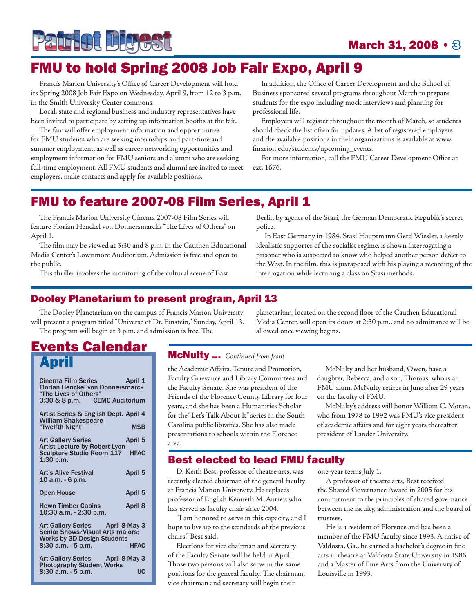

## FMU to hold Spring 2008 Job Fair Expo, April 9

Francis Marion University's Office of Career Development will hold its Spring 2008 Job Fair Expo on Wednesday, April 9, from 12 to 3 p.m. in the Smith University Center commons.

Local, state and regional business and industry representatives have been invited to participate by setting up information booths at the fair.

The fair will offer employment information and opportunities for FMU students who are seeking internships and part-time and summer employment, as well as career networking opportunities and employment information for FMU seniors and alumni who are seeking full-time employment. All FMU students and alumni are invited to meet employers, make contacts and apply for available positions.

In addition, the Office of Career Development and the School of Business sponsored several programs throughout March to prepare students for the expo including mock interviews and planning for professional life.

Employers will register throughout the month of March, so students should check the list often for updates. A list of registered employers and the available positions in their organizations is available at www. fmarion.edu/students/upcoming\_events.

For more information, call the FMU Career Development Office at ext. 1676.

## FMU to feature 2007-08 Film Series, April 1

The Francis Marion University Cinema 2007-08 Film Series will feature Florian Henckel von Donnersmarck's "The Lives of Others" on April 1.

The film may be viewed at 3:30 and 8 p.m. in the Cauthen Educational Media Center's Lowrimore Auditorium. Admission is free and open to the public.

This thriller involves the monitoring of the cultural scene of East

Berlin by agents of the Stasi, the German Democratic Republic's secret police.

In East Germany in 1984, Stasi Hauptmann Gerd Wiesler, a keenly idealistic supporter of the socialist regime, is shown interrogating a prisoner who is suspected to know who helped another person defect to the West. In the film, this is juxtaposed with his playing a recording of the interrogation while lecturing a class on Stasi methods.

planetarium, located on the second floor of the Cauthen Educational Media Center, will open its doors at 2:30 p.m., and no admittance will be

allowed once viewing begins.

#### Dooley Planetarium to present program, April 13

The Dooley Planetarium on the campus of Francis Marion University will present a program titled "Universe of Dr. Einstein," Sunday, April 13. The program will begin at 3 p.m. and admission is free. The

Events Calendar April

| <b>Cinema Film Series</b><br>Florian Henckel von Donnersmarck<br>"The Lives of Others"<br>3:30 & 8 p.m. CEMC Auditorium          | April 1                |
|----------------------------------------------------------------------------------------------------------------------------------|------------------------|
| Artist Series & English Dept. April 4<br><b>William Shakespeare</b><br>"Twelfth Night"                                           | <b>MSB</b>             |
| <b>Art Gallery Series</b><br><b>Artist Lecture by Robert Lyon</b><br>Sculpture Studio Room 117<br>$1:30$ p.m.                    | April 5<br><b>HFAC</b> |
| <b>Art's Alive Festival</b><br>10 a.m. - 6 p.m.                                                                                  | April 5                |
| <b>Open House</b>                                                                                                                | April 5                |
| <b>Hewn Timber Cabins</b><br>10:30 a.m. - 2:30 p.m.                                                                              | April 8                |
| Art Gallery Series April 8-May 3<br>Senior Shows/Visual Arts majors;<br><b>Works by 3D Design Students</b><br>8:30 a.m. - 5 p.m. | <b>HFAC</b>            |
| Art Gallery Series April 8-May 3<br><b>Photography Student Works</b>                                                             | UC                     |
| 8:30 a.m. - 5 p.m.                                                                                                               |                        |

#### McNulty ... *Continued from front*

the Academic Affairs, Tenure and Promotion, Faculty Grievance and Library Committees and the Faculty Senate. She was president of the Friends of the Florence County Library for four years, and she has been a Humanities Scholar for the "Let's Talk About It" series in the South Carolina public libraries. She has also made presentations to schools within the Florence area.

McNulty and her husband, Owen, have a daughter, Rebecca, and a son, Thomas, who is an FMU alum. McNulty retires in June after 29 years on the faculty of FMU.

McNulty's address will honor William C. Moran, who from 1978 to 1992 was FMU's vice president of academic affairs and for eight years thereafter president of Lander University.

#### Best elected to lead FMU faculty

D. Keith Best, professor of theatre arts, was recently elected chairman of the general faculty at Francis Marion University. He replaces professor of English Kenneth M. Autrey, who has served as faculty chair since 2004.

"I am honored to serve in this capacity, and I hope to live up to the standards of the previous chairs," Best said.

Elections for vice chairman and secretary of the Faculty Senate will be held in April. Those two persons will also serve in the same positions for the general faculty. The chairman, vice chairman and secretary will begin their

one-year terms July 1.

A professor of theatre arts, Best received the Shared Governance Award in 2005 for his commitment to the principles of shared governance between the faculty, administration and the board of trustees.

He is a resident of Florence and has been a member of the FMU faculty since 1993. A native of Valdosta, Ga., he earned a bachelor's degree in fine arts in theatre at Valdosta State University in 1986 and a Master of Fine Arts from the University of Louisville in 1993.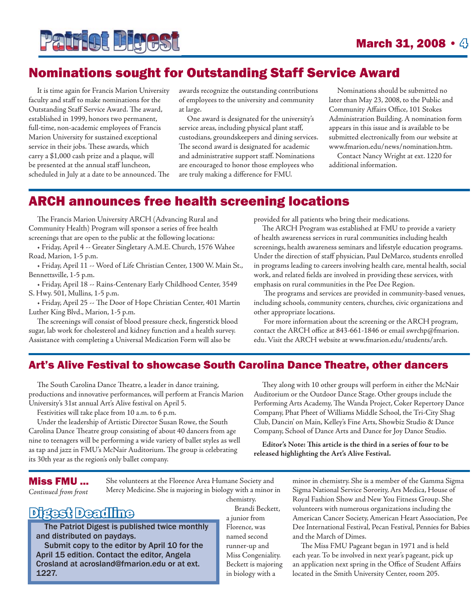

## Nominations sought for Outstanding Staff Service Award

It is time again for Francis Marion University faculty and staff to make nominations for the Outstanding Staff Service Award. The award, established in 1999, honors two permanent, full-time, non-academic employees of Francis Marion University for sustained exceptional service in their jobs. These awards, which carry a \$1,000 cash prize and a plaque, will be presented at the annual staff luncheon, scheduled in July at a date to be announced. The awards recognize the outstanding contributions of employees to the university and community at large.

One award is designated for the university's service areas, including physical plant staff, custodians, groundskeepers and dining services. The second award is designated for academic and administrative support staff. Nominations are encouraged to honor those employees who are truly making a difference for FMU.

Nominations should be submitted no later than May 23, 2008, to the Public and Community Affairs Office, 101 Stokes Administration Building. A nomination form appears in this issue and is available to be submitted electronically from our website at www.fmarion.edu/news/nomination.htm.

Contact Nancy Wright at ext. 1220 for additional information.

## ARCH announces free health screening locations

The Francis Marion University ARCH (Advancing Rural and Community Health) Program will sponsor a series of free health screenings that are open to the public at the following locations:

• Friday, April 4 -- Greater Singletary A.M.E. Church, 1576 Wahee Road, Marion, 1-5 p.m.

• Friday, April 11 -- Word of Life Christian Center, 1300 W. Main St., Bennettsville, 1-5 p.m.

• Friday, April 18 -- Rains-Centenary Early Childhood Center, 3549 S. Hwy. 501, Mullins, 1-5 p.m.

• Friday, April 25 -- The Door of Hope Christian Center, 401 Martin Luther King Blvd., Marion, 1-5 p.m.

The screenings will consist of blood pressure check, fingerstick blood sugar, lab work for cholesterol and kidney function and a health survey. Assistance with completing a Universal Medication Form will also be

provided for all patients who bring their medications.

The ARCH Program was established at FMU to provide a variety of health awareness services in rural communities including health screenings, health awareness seminars and lifestyle education programs. Under the direction of staff physician, Paul DeMarco, students enrolled in programs leading to careers involving health care, mental health, social work, and related fields are involved in providing these services, with emphasis on rural communities in the Pee Dee Region.

The programs and services are provided in community-based venues, including schools, community centers, churches, civic organizations and other appropriate locations.

 For more information about the screening or the ARCH program, contact the ARCH office at 843-661-1846 or email swrchp@fmarion. edu. Visit the ARCH website at www.fmarion.edu/students/arch.

## Art's Alive Festival to showcase South Carolina Dance Theatre, other dancers

The South Carolina Dance Theatre, a leader in dance training, productions and innovative performances, will perform at Francis Marion University's 31st annual Art's Alive festival on April 5.

Festivities will take place from 10 a.m. to 6 p.m.

Under the leadership of Artistic Director Susan Rowe, the South Carolina Dance Theatre group consisting of about 40 dancers from age nine to teenagers will be performing a wide variety of ballet styles as well as tap and jazz in FMU's McNair Auditorium. The group is celebrating its 30th year as the region's only ballet company.

They along with 10 other groups will perform in either the McNair Auditorium or the Outdoor Dance Stage. Other groups include the Performing Arts Academy, The Wanda Project, Coker Repertory Dance Company, Phat Pheet of Williams Middle School, the Tri-City Shag Club, Dancin' on Main, Kelley's Fine Arts, Showbiz Studio & Dance Company, School of Dance Arts and Dance for Joy Dance Studio.

Editor's Note: This article is the third in a series of four to be **released highlighting the Art's Alive Festival.** 

Miss FMU ... *Continued from front* She volunteers at the Florence Area Humane Society and Mercy Medicine. She is majoring in biology with a minor in

## Digest Deadline

The Patriot Digest is published twice monthly and distributed on paydays.

Submit copy to the editor by April 10 for the April 15 edition. Contact the editor, Angela Crosland at acrosland@fmarion.edu or at ext. 1227.

chemistry. Brandi Beckett,

a junior from Florence, was named second runner-up and Miss Congeniality. Beckett is majoring in biology with a

minor in chemistry. She is a member of the Gamma Sigma Sigma National Service Sorority, Ars Medica, House of Royal Fashion Show and New You Fitness Group. She volunteers with numerous organizations including the American Cancer Society, American Heart Association, Pee Dee International Festival, Pecan Festival, Pennies for Babies and the March of Dimes.

The Miss FMU Pageant began in 1971 and is held each year. To be involved in next year's pageant, pick up an application next spring in the Office of Student Affairs located in the Smith University Center, room 205.